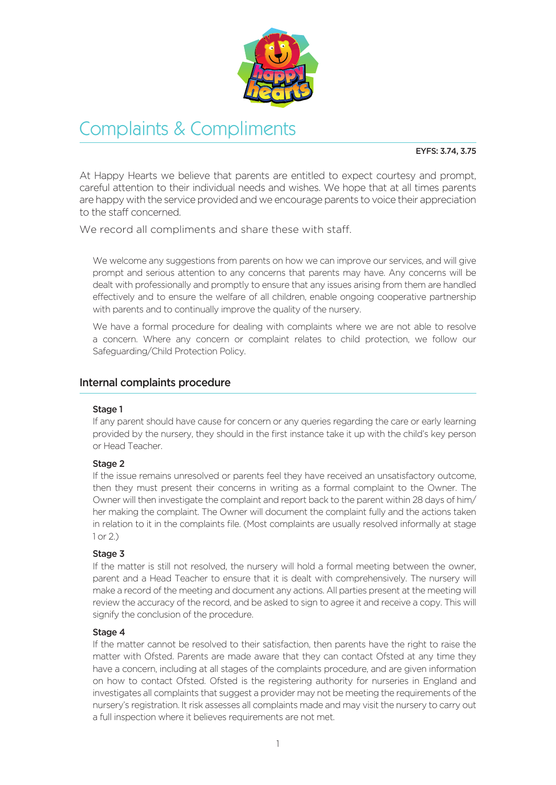

# Complaints & Compliments

### EYFS: 3.74, 3.75

At Happy Hearts we believe that parents are entitled to expect courtesy and prompt, careful attention to their individual needs and wishes. We hope that at all times parents are happy with the service provided and we encourage parents to voice their appreciation to the staff concerned.

We record all compliments and share these with staff.

We welcome any suggestions from parents on how we can improve our services, and will give prompt and serious attention to any concerns that parents may have. Any concerns will be dealt with professionally and promptly to ensure that any issues arising from them are handled effectively and to ensure the welfare of all children, enable ongoing cooperative partnership with parents and to continually improve the quality of the nursery.

We have a formal procedure for dealing with complaints where we are not able to resolve a concern. Where any concern or complaint relates to child protection, we follow our Safeguarding/Child Protection Policy.

## Internal complaints procedure

### Stage 1

If any parent should have cause for concern or any queries regarding the care or early learning provided by the nursery, they should in the first instance take it up with the child's key person or Head Teacher.

### Stage 2

If the issue remains unresolved or parents feel they have received an unsatisfactory outcome, then they must present their concerns in writing as a formal complaint to the Owner. The Owner will then investigate the complaint and report back to the parent within 28 days of him/ her making the complaint. The Owner will document the complaint fully and the actions taken in relation to it in the complaints file. (Most complaints are usually resolved informally at stage 1 or 2.)

### Stage 3

If the matter is still not resolved, the nursery will hold a formal meeting between the owner, parent and a Head Teacher to ensure that it is dealt with comprehensively. The nursery will make a record of the meeting and document any actions. All parties present at the meeting will review the accuracy of the record, and be asked to sign to agree it and receive a copy. This will signify the conclusion of the procedure.

### Stage 4

If the matter cannot be resolved to their satisfaction, then parents have the right to raise the matter with Ofsted. Parents are made aware that they can contact Ofsted at any time they have a concern, including at all stages of the complaints procedure, and are given information on how to contact Ofsted. Ofsted is the registering authority for nurseries in England and investigates all complaints that suggest a provider may not be meeting the requirements of the nursery's registration. It risk assesses all complaints made and may visit the nursery to carry out a full inspection where it believes requirements are not met.